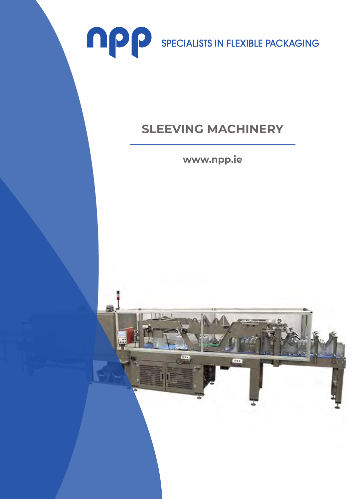

## **SLEEVING MACHINERY**

**www.npp.ie**

m.

**COL**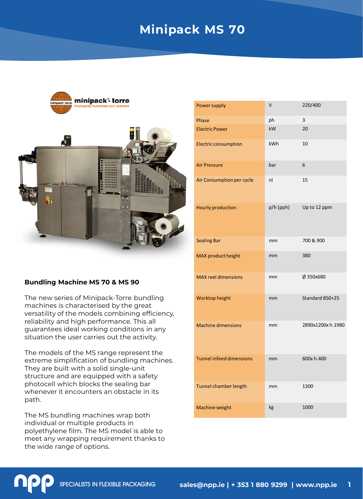# **Minipack MS 70**



### **Bundling Machine MS 70 & MS 90**

The new series of Minipack-Torre bundling machines is characterised by the great versatility of the models combining efficiency, reliability and high performance. This all guarantees ideal working conditions in any situation the user carries out the activity.

The models of the MS range represent the extreme simplification of bundling machines. They are built with a solid single-unit structure and are equipped with a safety photocell which blocks the sealing bar whenever it encounters an obstacle in its path.

The MS bundling machines wrap both individual or multiple products in polyethylene film. The MS model is able to meet any wrapping requirement thanks to the wide range of options.

| Power supply                    | V          | 220/400          |
|---------------------------------|------------|------------------|
| Phase                           | ph         | 3                |
| <b>Electric Power</b>           | kW         | 20               |
| <b>Electric consumption</b>     | <b>kWh</b> | 10               |
| <b>Air Pressure</b>             | bar        | 6                |
| Air Consumption per cycle       | nl         | 15               |
| Hourly production               | p/h (pph)  | Up to 12 ppm     |
| <b>Sealing Bar</b>              | mm         | 700 & 900        |
| MAX product height              | mm         | 380              |
| <b>MAX reel dimensions</b>      | mm         | Ø 350x680        |
| Worktop height                  | mm         | Standard 850+25  |
| <b>Machine dimensions</b>       | mm         | 2890x1200xh.1980 |
| <b>Tunnel infeed dimensions</b> | mm         | 600x h.400       |
| Tunnel chamber length           | mm         | 1300             |
| Machine weight                  | kg         | 1000             |

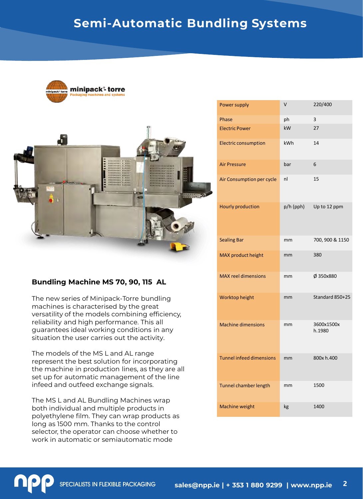



## **Bundling Machine MS 70, 90, 115 AL**

The new series of Minipack-Torre bundling machines is characterised by the great versatility of the models combining efficiency, reliability and high performance. This all guarantees ideal working conditions in any situation the user carries out the activity.

The models of the MS L and AL range represent the best solution for incorporating the machine in production lines, as they are all set up for automatic management of the line infeed and outfeed exchange signals.

The MS L and AL Bundling Machines wrap both individual and multiple products in polyethylene film. They can wrap products as long as 1500 mm. Thanks to the control selector, the operator can choose whether to work in automatic or semiautomatic mode

| Power supply                    | V         | 220/400              |
|---------------------------------|-----------|----------------------|
| Phase                           | ph        | 3                    |
| <b>Electric Power</b>           | kW        | 27                   |
| <b>Electric consumption</b>     | kWh       | 14                   |
| <b>Air Pressure</b>             | bar       | 6                    |
| Air Consumption per cycle       | nl        | 15                   |
| <b>Hourly production</b>        | p/h (pph) | Up to 12 ppm         |
| <b>Sealing Bar</b>              | mm        | 700, 900 & 1150      |
| MAX product height              | mm        | 380                  |
| <b>MAX reel dimensions</b>      | mm        | Ø 350x880            |
| Worktop height                  | mm        | Standard 850+25      |
| <b>Machine dimensions</b>       | mm        | 3600x1500x<br>h.1980 |
| <b>Tunnel infeed dimensions</b> | mm        | 800x h.400           |
| Tunnel chamber length           | mm        | 1500                 |
| Machine weight                  | kg        | 1400                 |

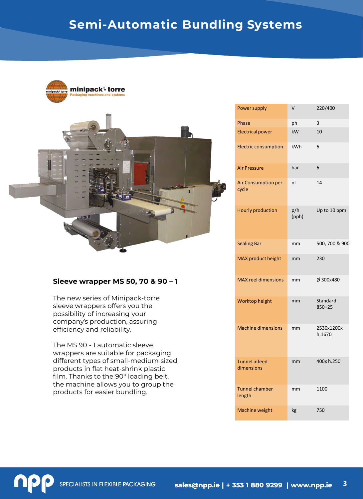



### **Sleeve wrapper MS 50, 70 & 90 – 1**

The new series of Minipack-torre sleeve wrappers offers you the possibility of increasing your company's production, assuring efficiency and reliability.

The MS 90 - 1 automatic sleeve wrappers are suitable for packaging different types of small-medium sized products in flat heat-shrink plastic film. Thanks to the 90° loading belt, the machine allows you to group the products for easier bundling.

| <b>Power supply</b>                | v            | 220/400                |
|------------------------------------|--------------|------------------------|
| Phase                              | ph           | 3                      |
| <b>Electrical power</b>            | kW           | 10                     |
| <b>Electric consumption</b>        | kWh          | 6                      |
| <b>Air Pressure</b>                | bar          | 6                      |
| Air Consumption per<br>cycle       | nl           | 14                     |
| <b>Hourly production</b>           | p/h<br>(pph) | Up to 10 ppm           |
| <b>Sealing Bar</b>                 | mm           | 500, 700 & 900         |
| MAX product height                 | mm           | 230                    |
| <b>MAX reel dimensions</b>         | mm           | Ø 300x480              |
| Worktop height                     | mm           | Standard<br>$850 + 25$ |
| <b>Machine dimensions</b>          | mm           | 2530x1200x<br>h.1670   |
| <b>Tunnel infeed</b><br>dimensions | mm           | 400x h.250             |
| <b>Tunnel chamber</b><br>length    | mm           | 1100                   |
| Machine weight                     | kg           | 750                    |

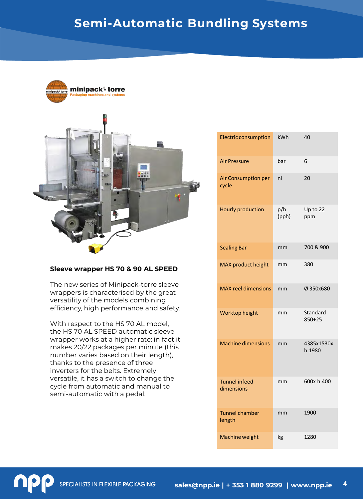



#### **Sleeve wrapper HS 70 & 90 AL SPEED**

The new series of Minipack-torre sleeve wrappers is characterised by the great versatility of the models combining efficiency, high performance and safety.

With respect to the HS 70 AL model, the HS 70 AL SPEED automatic sleeve wrapper works at a higher rate: in fact it makes 20/22 packages per minute (this number varies based on their length), thanks to the presence of three inverters for the belts. Extremely versatile, it has a switch to change the cycle from automatic and manual to semi-automatic with a pedal.

| <b>Electric consumption</b>        | kWh          | 40                   |
|------------------------------------|--------------|----------------------|
| <b>Air Pressure</b>                | bar          | 6                    |
| Air Consumption per<br>cycle       | nl           | 20                   |
| <b>Hourly production</b>           | p/h<br>(pph) | Up to 22<br>ppm      |
| <b>Sealing Bar</b>                 | mm           | 700 & 900            |
| MAX product height                 | mm           | 380                  |
| <b>MAX reel dimensions</b>         | mm           | Ø 350x680            |
| Worktop height                     | mm           | Standard<br>850+25   |
| <b>Machine dimensions</b>          | mm           | 4385x1530x<br>h.1980 |
| <b>Tunnel infeed</b><br>dimensions | mm           | 600x h.400           |
| <b>Tunnel chamber</b><br>length    | mm           | 1900                 |
| Machine weight                     | kg           | 1280                 |

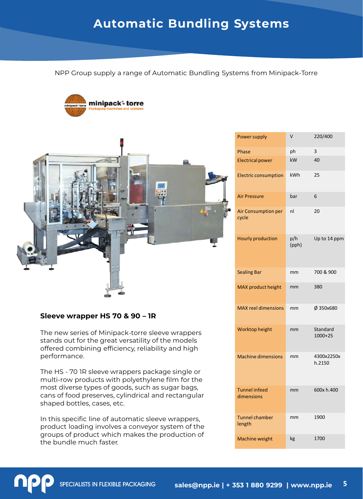NPP Group supply a range of Automatic Bundling Systems from Minipack-Torre





### **Sleeve wrapper HS 70 & 90 – 1R**

The new series of Minipack-torre sleeve wrappers stands out for the great versatility of the models offered combining efficiency, reliability and high performance.

The HS - 70 1R sleeve wrappers package single or multi-row products with polyethylene film for the most diverse types of goods, such as sugar bags, cans of food preserves, cylindrical and rectangular shaped bottles, cases, etc.

In this specific line of automatic sleeve wrappers, product loading involves a conveyor system of the groups of product which makes the production of the bundle much faster.

| Power supply                       | V            | 220/400                 |
|------------------------------------|--------------|-------------------------|
| Phase                              | ph           | 3                       |
| <b>Electrical power</b>            | kW           | 40                      |
| <b>Electric consumption</b>        | kWh          | 25                      |
| <b>Air Pressure</b>                | bar          | 6                       |
| Air Consumption per<br>cycle       | nl           | 20                      |
| <b>Hourly production</b>           | p/h<br>(pph) | Up to 14 ppm            |
| <b>Sealing Bar</b>                 | mm           | 700 & 900               |
| MAX product height                 | mm           | 380                     |
| <b>MAX reel dimensions</b>         | mm           | Ø 350x680               |
| Worktop height                     | mm           | Standard<br>$1000 + 25$ |
| <b>Machine dimensions</b>          | mm           | 4300x2250x<br>h.2150    |
| <b>Tunnel infeed</b><br>dimensions | mm           | 600x h.400              |
| <b>Tunnel chamber</b><br>length    | mm           | 1900                    |
| Machine weight                     | kg           | 1700                    |

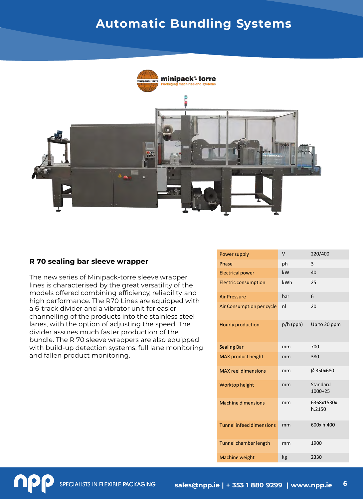

### **R 70 sealing bar sleeve wrapper**

The new series of Minipack-torre sleeve wrapper lines is characterised by the great versatility of the models offered combining efficiency, reliability and high performance. The R70 Lines are equipped with a 6-track divider and a vibrator unit for easier channelling of the products into the stainless steel lanes, with the option of adjusting the speed. The divider assures much faster production of the bundle. The R 70 sleeve wrappers are also equipped with build-up detection systems, full lane monitoring and fallen product monitoring.

| Power supply                    | v         | 220/400               |
|---------------------------------|-----------|-----------------------|
| Phase                           | ph        | 3                     |
| <b>Electrical power</b>         | kW        | 40                    |
| <b>Electric consumption</b>     | kWh       | 25                    |
| <b>Air Pressure</b>             | bar       | 6                     |
| Air Consumption per cycle       | nl        | 20                    |
| <b>Hourly production</b>        | p/h (pph) | Up to 20 ppm          |
| <b>Sealing Bar</b>              | mm        | 700                   |
| MAX product height              | mm        | 380                   |
| <b>MAX reel dimensions</b>      | mm        | Ø 350x680             |
| Worktop height                  | mm        | Standard<br>$1000+25$ |
| <b>Machine dimensions</b>       | mm        | 6368x1530x<br>h.2150  |
| <b>Tunnel infeed dimensions</b> | mm        | 600x h.400            |
| Tunnel chamber length           | mm        | 1900                  |
| Machine weight                  | kg        | 2330                  |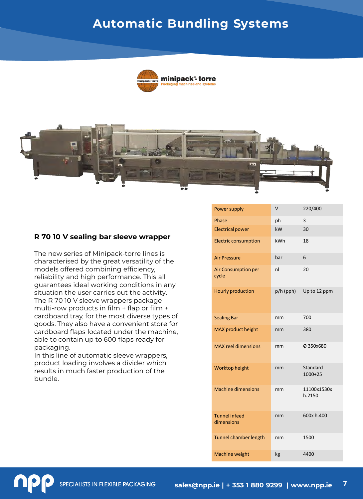



## **R 70 10 V sealing bar sleeve wrapper**

The new series of Minipack-torre lines is characterised by the great versatility of the models offered combining efficiency, reliability and high performance. This all guarantees ideal working conditions in any situation the user carries out the activity. The R 70 10 V sleeve wrappers package multi-row products in film + flap or film + cardboard tray, for the most diverse types of goods. They also have a convenient store for cardboard flaps located under the machine, able to contain up to 600 flaps ready for packaging.

In this line of automatic sleeve wrappers, product loading involves a divider which results in much faster production of the bundle.

| Power supply                       | V         | 220/400               |
|------------------------------------|-----------|-----------------------|
| Phase                              | ph        | 3                     |
| <b>Electrical power</b>            | kW        | 30                    |
| <b>Electric consumption</b>        | kWh       | 18                    |
| <b>Air Pressure</b>                | bar       | 6                     |
| Air Consumption per<br>cycle       | nl        | 20                    |
| <b>Hourly production</b>           | p/h (pph) | Up to 12 ppm          |
| <b>Sealing Bar</b>                 | mm        | 700                   |
| MAX product height                 | mm        | 380                   |
| <b>MAX reel dimensions</b>         | mm        | Ø 350x680             |
| Worktop height                     | mm        | Standard<br>$1000+25$ |
| <b>Machine dimensions</b>          | mm        | 11100x1530x<br>h.2150 |
| <b>Tunnel infeed</b><br>dimensions | mm        | 600x h.400            |
| Tunnel chamber length              | mm        | 1500                  |
| Machine weight                     | kg        | 4400                  |

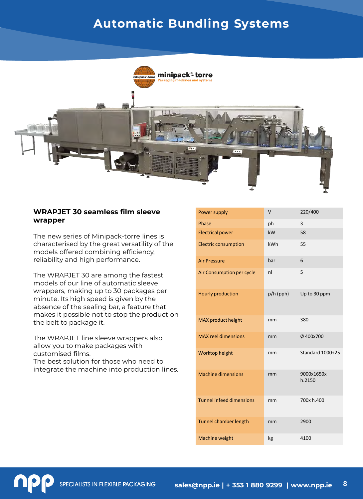

## **WRAPJET 30 seamless film sleeve wrapper**

The new series of Minipack-torre lines is characterised by the great versatility of the models offered combining efficiency, reliability and high performance.

The WRAPJET 30 are among the fastest models of our line of automatic sleeve wrappers, making up to 30 packages per minute. Its high speed is given by the absence of the sealing bar, a feature that makes it possible not to stop the product on the belt to package it.

The WRAPJET line sleeve wrappers also allow you to make packages with customised films. The best solution for those who need to integrate the machine into production lines.

| Power supply                    | V         | 220/400              |
|---------------------------------|-----------|----------------------|
| Phase                           | ph        | 3                    |
| <b>Electrical power</b>         | kW        | 58                   |
| <b>Electric consumption</b>     | kWh       | 55                   |
| <b>Air Pressure</b>             | bar       | 6                    |
| Air Consumption per cycle       | nl        | 5                    |
| Hourly production               | p/h (pph) | Up to 30 ppm         |
| MAX product height              | mm        | 380                  |
| <b>MAX</b> reel dimensions      | mm        | Ø 400x700            |
| Worktop height                  | mm        | Standard 1000+25     |
| <b>Machine dimensions</b>       | mm        | 9000x1650x<br>h.2150 |
| <b>Tunnel infeed dimensions</b> | mm        | 700x h.400           |
| Tunnel chamber length           | mm        | 2900                 |
| Machine weight                  | kg        | 4100                 |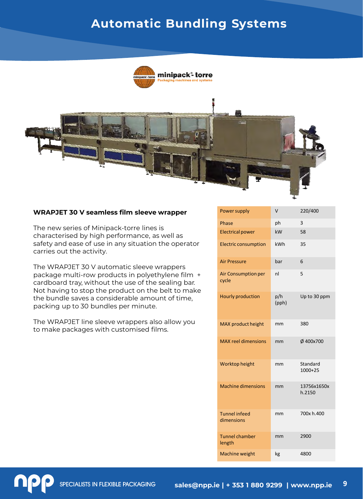



### **WRAPJET 30 V seamless film sleeve wrapper**

The new series of Minipack-torre lines is characterised by high performance, as well as safety and ease of use in any situation the operator carries out the activity.

The WRAPJET 30 V automatic sleeve wrappers package multi-row products in polyethylene film + cardboard tray, without the use of the sealing bar. Not having to stop the product on the belt to make the bundle saves a considerable amount of time, packing up to 30 bundles per minute.

The WRAPJET line sleeve wrappers also allow you to make packages with customised films.

| Power supply                       | v            | 220/400               |
|------------------------------------|--------------|-----------------------|
| Phase                              | ph           | 3                     |
| <b>Electrical power</b>            | kW           | 58                    |
| <b>Electric consumption</b>        | kWh          | 35                    |
| <b>Air Pressure</b>                | bar          | 6                     |
| Air Consumption per<br>cycle       | nl           | 5                     |
| <b>Hourly production</b>           | p/h<br>(pph) | Up to 30 ppm          |
| MAX product height                 | mm           | 380                   |
| <b>MAX reel dimensions</b>         | mm           | Ø 400x700             |
| Worktop height                     | mm           | Standard<br>$1000+25$ |
| <b>Machine dimensions</b>          | mm           | 13756x1650x<br>h.2150 |
| <b>Tunnel infeed</b><br>dimensions | mm           | 700x h.400            |
| <b>Tunnel chamber</b><br>length    | mm           | 2900                  |
| Machine weight                     | kg           | 4800                  |